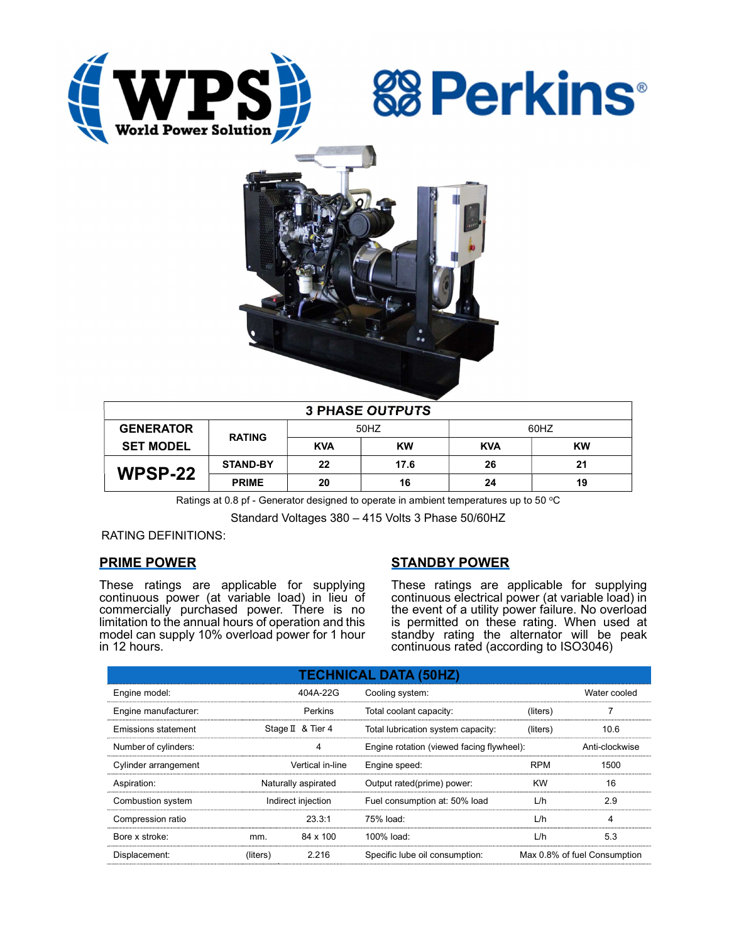





| <b>3 PHASE OUTPUTS</b> |                 |            |           |            |           |  |  |  |
|------------------------|-----------------|------------|-----------|------------|-----------|--|--|--|
| <b>GENERATOR</b>       | <b>RATING</b>   | 50HZ       |           | 60HZ       |           |  |  |  |
| <b>SET MODEL</b>       |                 | <b>KVA</b> | <b>KW</b> | <b>KVA</b> | <b>KW</b> |  |  |  |
| WPSP-22                | <b>STAND-BY</b> | 22         | 17.6      | 26         | 21        |  |  |  |
|                        | <b>PRIME</b>    | 20         | 16        | 24         | 19        |  |  |  |

Ratings at 0.8 pf - Generator designed to operate in ambient temperatures up to 50  $^{\circ}$ C

Standard Voltages 380 – 415 Volts 3 Phase 50/60HZ

RATING DEFINITIONS:

# PRIME POWER

These ratings are applicable for supplying continuous power (at variable load) in lieu of commercially purchased power. There is no limitation to the annual hours of operation and this model can supply 10% overload power for 1 hour in 12 hours.

# STANDBY POWER

These ratings are applicable for supplying continuous electrical power (at variable load) in the event of a utility power failure. No overload is permitted on these rating. When used at standby rating the alternator will be peak continuous rated (according to ISO3046)

| <b>TECHNICAL DATA (50HZ)</b> |                     |                   |                                           |            |                              |  |  |  |  |
|------------------------------|---------------------|-------------------|-------------------------------------------|------------|------------------------------|--|--|--|--|
| Engine model:                |                     | 404A-22G          | Cooling system:                           |            | Water cooled                 |  |  |  |  |
| Engine manufacturer:         |                     | Perkins           | Total coolant capacity:                   | (liters)   |                              |  |  |  |  |
| <b>Emissions statement</b>   |                     | Stage II & Tier 4 | Total lubrication system capacity:        | (liters)   | 10.6                         |  |  |  |  |
| Number of cylinders:         |                     | 4                 | Engine rotation (viewed facing flywheel): |            | Anti-clockwise               |  |  |  |  |
| Cylinder arrangement         |                     | Vertical in-line  | Engine speed:                             | <b>RPM</b> | 1500                         |  |  |  |  |
| Aspiration:                  | Naturally aspirated |                   | Output rated(prime) power:                | <b>KW</b>  | 16                           |  |  |  |  |
| Combustion system            | Indirect injection  |                   | Fuel consumption at: 50% load             | L/h        | 2.9                          |  |  |  |  |
| Compression ratio            |                     | 23.3:1            | 75% load:                                 | L/h        | 4                            |  |  |  |  |
| Bore x stroke:               | mm.                 | 84 x 100          | 100% load:                                | L/h        | 5.3                          |  |  |  |  |
| Displacement:                | (liters)            | 2.216             | Specific lube oil consumption:            |            | Max 0.8% of fuel Consumption |  |  |  |  |